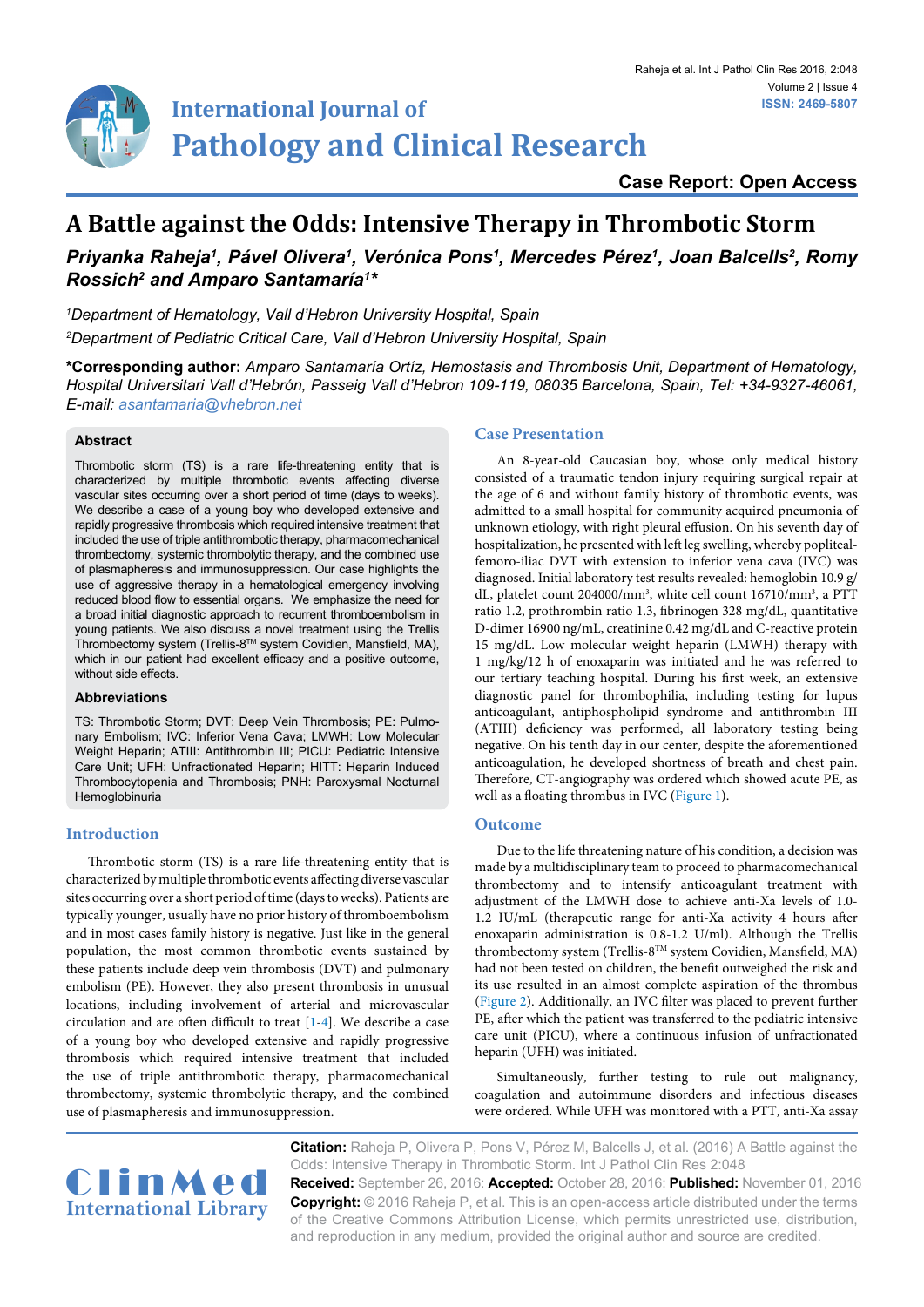

**Case Report: Open Access**

# **A Battle against the Odds: Intensive Therapy in Thrombotic Storm**

# *Priyanka Raheja1 , Pável Olivera1 , Verónica Pons1 , Mercedes Pérez1 , Joan Balcells2 , Romy Rossich2 and Amparo Santamaría1 \**

*1 Department of Hematology, Vall d'Hebron University Hospital, Spain 2 Department of Pediatric Critical Care, Vall d'Hebron University Hospital, Spain*

**\*Corresponding author:** *Amparo Santamaría Ortíz, Hemostasis and Thrombosis Unit, Department of Hematology, Hospital Universitari Vall d'Hebrón, Passeig Vall d'Hebron 109-119, 08035 Barcelona, Spain, Tel: +34-9327-46061, E-mail: asantamaria@vhebron.net*

#### **Abstract**

Thrombotic storm (TS) is a rare life-threatening entity that is characterized by multiple thrombotic events affecting diverse vascular sites occurring over a short period of time (days to weeks). We describe a case of a young boy who developed extensive and rapidly progressive thrombosis which required intensive treatment that included the use of triple antithrombotic therapy, pharmacomechanical thrombectomy, systemic thrombolytic therapy, and the combined use of plasmapheresis and immunosuppression. Our case highlights the use of aggressive therapy in a hematological emergency involving reduced blood flow to essential organs. We emphasize the need for a broad initial diagnostic approach to recurrent thromboembolism in young patients. We also discuss a novel treatment using the Trellis Thrombectomy system (Trellis-8TM system Covidien, Mansfield, MA), which in our patient had excellent efficacy and a positive outcome, without side effects.

#### **Abbreviations**

TS: Thrombotic Storm; DVT: Deep Vein Thrombosis; PE: Pulmonary Embolism; IVC: Inferior Vena Cava; LMWH: Low Molecular Weight Heparin; ATIII: Antithrombin III; PICU: Pediatric Intensive Care Unit; UFH: Unfractionated Heparin; HITT: Heparin Induced Thrombocytopenia and Thrombosis; PNH: Paroxysmal Nocturnal Hemoglobinuria

# **Introduction**

Thrombotic storm (TS) is a rare life-threatening entity that is characterized by multiple thrombotic events affecting diverse vascular sites occurring over a short period of time (days to weeks). Patients are typically younger, usually have no prior history of thromboembolism and in most cases family history is negative. Just like in the general population, the most common thrombotic events sustained by these patients include deep vein thrombosis (DVT) and pulmonary embolism (PE). However, they also present thrombosis in unusual locations, including involvement of arterial and microvascular circulation and are often difficult to treat [[1](#page-3-0)[-4](#page-3-1)]. We describe a case of a young boy who developed extensive and rapidly progressive thrombosis which required intensive treatment that included the use of triple antithrombotic therapy, pharmacomechanical thrombectomy, systemic thrombolytic therapy, and the combined use of plasmapheresis and immunosuppression.

#### **Case Presentation**

An 8-year-old Caucasian boy, whose only medical history consisted of a traumatic tendon injury requiring surgical repair at the age of 6 and without family history of thrombotic events, was admitted to a small hospital for community acquired pneumonia of unknown etiology, with right pleural effusion. On his seventh day of hospitalization, he presented with left leg swelling, whereby poplitealfemoro-iliac DVT with extension to inferior vena cava (IVC) was diagnosed. Initial laboratory test results revealed: hemoglobin 10.9 g/ dL, platelet count 204000/mm3 , white cell count 16710/mm3 , a PTT ratio 1.2, prothrombin ratio 1.3, fibrinogen 328 mg/dL, quantitative D-dimer 16900 ng/mL, creatinine 0.42 mg/dL and C-reactive protein 15 mg/dL. Low molecular weight heparin (LMWH) therapy with 1 mg/kg/12 h of enoxaparin was initiated and he was referred to our tertiary teaching hospital. During his first week, an extensive diagnostic panel for thrombophilia, including testing for lupus anticoagulant, antiphospholipid syndrome and antithrombin III (ATIII) deficiency was performed, all laboratory testing being negative. On his tenth day in our center, despite the aforementioned anticoagulation, he developed shortness of breath and chest pain. Therefore, CT-angiography was ordered which showed acute PE, as well as a floating thrombus in IVC [\(Figure 1\)](#page-1-0).

#### **Outcome**

Due to the life threatening nature of his condition, a decision was made by a multidisciplinary team to proceed to pharmacomechanical thrombectomy and to intensify anticoagulant treatment with adjustment of the LMWH dose to achieve anti-Xa levels of 1.0- 1.2 IU/mL (therapeutic range for anti-Xa activity 4 hours after enoxaparin administration is 0.8-1.2 U/ml). Although the Trellis thrombectomy system (Trellis-8TM system Covidien, Mansfield, MA) had not been tested on children, the benefit outweighed the risk and its use resulted in an almost complete aspiration of the thrombus [\(Figure 2](#page-1-1)). Additionally, an IVC filter was placed to prevent further PE, after which the patient was transferred to the pediatric intensive care unit (PICU), where a continuous infusion of unfractionated heparin (UFH) was initiated.

Simultaneously, further testing to rule out malignancy, coagulation and autoimmune disorders and infectious diseases were ordered. While UFH was monitored with a PTT, anti-Xa assay



**Citation:** Raheja P, Olivera P, Pons V, Pérez M, Balcells J, et al. (2016) A Battle against the Odds: Intensive Therapy in Thrombotic Storm. Int J Pathol Clin Res 2:048 **Received:** September 26, 2016: **Accepted:** October 28, 2016: **Published:** November 01, 2016

**Copyright:** © 2016 Raheja P, et al. This is an open-access article distributed under the terms of the Creative Commons Attribution License, which permits unrestricted use, distribution, and reproduction in any medium, provided the original author and source are credited.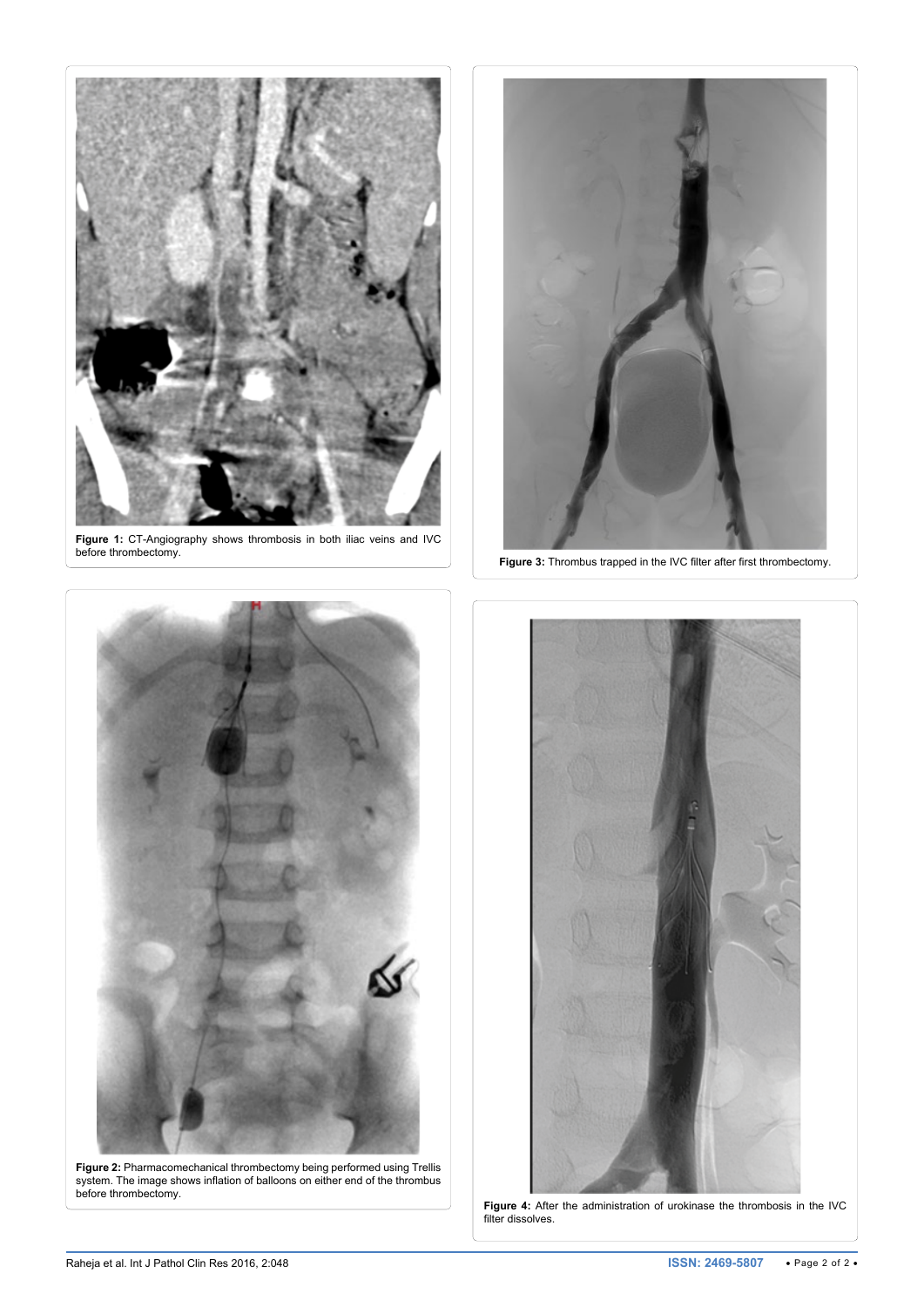<span id="page-1-0"></span>

**Figure 1:** CT-Angiography shows thrombosis in both iliac veins and IVC before thrombectomy.

<span id="page-1-1"></span>Ī



<span id="page-1-2"></span>Ī

<span id="page-1-3"></span>Ī

**Figure 3:** Thrombus trapped in the IVC filter after first thrombectomy.



**Figure 2:** Pharmacomechanical thrombectomy being performed using Trellis system. The image shows inflation of balloons on either end of the thrombus before thrombectomy.



Figure 4: After the administration of urokinase the thrombosis in the IVC filter dissolves.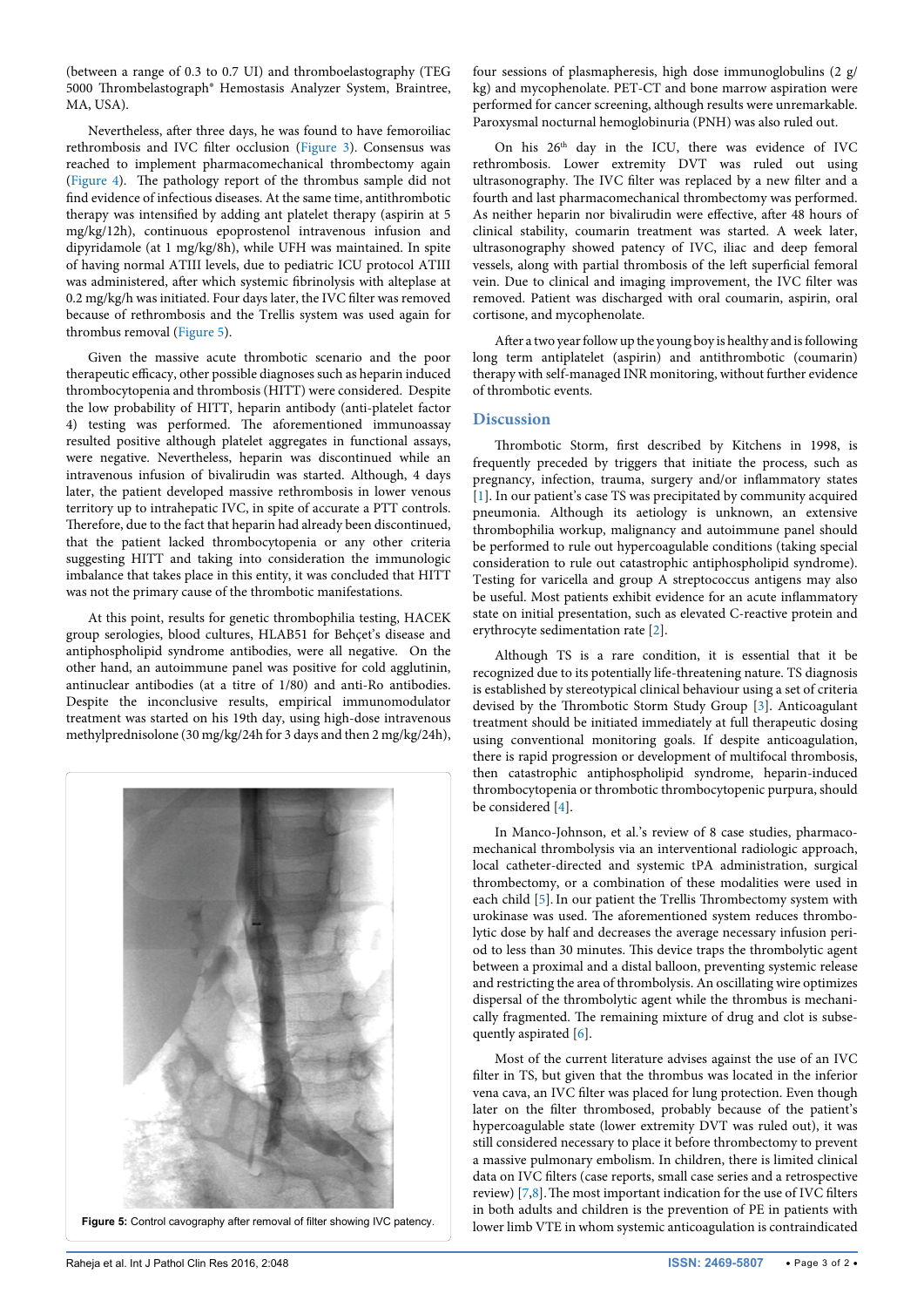(between a range of 0.3 to 0.7 UI) and thromboelastography (TEG 5000 Thrombelastograph® Hemostasis Analyzer System, Braintree, MA, USA).

Nevertheless, after three days, he was found to have femoroiliac rethrombosis and IVC filter occlusion ([Figure 3](#page-1-2)). Consensus was reached to implement pharmacomechanical thrombectomy again ([Figure 4\)](#page-1-3). The pathology report of the thrombus sample did not find evidence of infectious diseases. At the same time, antithrombotic therapy was intensified by adding ant platelet therapy (aspirin at 5 mg/kg/12h), continuous epoprostenol intravenous infusion and dipyridamole (at 1 mg/kg/8h), while UFH was maintained. In spite of having normal ATIII levels, due to pediatric ICU protocol ATIII was administered, after which systemic fibrinolysis with alteplase at 0.2 mg/kg/h was initiated. Four days later, the IVC filter was removed because of rethrombosis and the Trellis system was used again for thrombus removal ([Figure 5](#page-2-0)).

Given the massive acute thrombotic scenario and the poor therapeutic efficacy, other possible diagnoses such as heparin induced thrombocytopenia and thrombosis (HITT) were considered. Despite the low probability of HITT, heparin antibody (anti-platelet factor 4) testing was performed. The aforementioned immunoassay resulted positive although platelet aggregates in functional assays, were negative. Nevertheless, heparin was discontinued while an intravenous infusion of bivalirudin was started. Although, 4 days later, the patient developed massive rethrombosis in lower venous territory up to intrahepatic IVC, in spite of accurate a PTT controls. Therefore, due to the fact that heparin had already been discontinued, that the patient lacked thrombocytopenia or any other criteria suggesting HITT and taking into consideration the immunologic imbalance that takes place in this entity, it was concluded that HITT was not the primary cause of the thrombotic manifestations.

At this point, results for genetic thrombophilia testing, HACEK group serologies, blood cultures, HLAB51 for Behçet's disease and antiphospholipid syndrome antibodies, were all negative. On the other hand, an autoimmune panel was positive for cold agglutinin, antinuclear antibodies (at a titre of 1/80) and anti-Ro antibodies. Despite the inconclusive results, empirical immunomodulator treatment was started on his 19th day, using high-dose intravenous methylprednisolone (30 mg/kg/24h for 3 days and then 2 mg/kg/24h),

<span id="page-2-0"></span>

**Figure 5:** Control cavography after removal of filter showing IVC patency.

four sessions of plasmapheresis, high dose immunoglobulins (2 g/ kg) and mycophenolate. PET-CT and bone marrow aspiration were performed for cancer screening, although results were unremarkable. Paroxysmal nocturnal hemoglobinuria (PNH) was also ruled out.

On his 26th day in the ICU, there was evidence of IVC rethrombosis. Lower extremity DVT was ruled out using ultrasonography. The IVC filter was replaced by a new filter and a fourth and last pharmacomechanical thrombectomy was performed. As neither heparin nor bivalirudin were effective, after 48 hours of clinical stability, coumarin treatment was started. A week later, ultrasonography showed patency of IVC, iliac and deep femoral vessels, along with partial thrombosis of the left superficial femoral vein. Due to clinical and imaging improvement, the IVC filter was removed. Patient was discharged with oral coumarin, aspirin, oral cortisone, and mycophenolate.

After a two year follow up the young boy is healthy and is following long term antiplatelet (aspirin) and antithrombotic (coumarin) therapy with self-managed INR monitoring, without further evidence of thrombotic events.

# **Discussion**

Thrombotic Storm, first described by Kitchens in 1998, is frequently preceded by triggers that initiate the process, such as pregnancy, infection, trauma, surgery and/or inflammatory states [[1](#page-3-0)]. In our patient's case TS was precipitated by community acquired pneumonia. Although its aetiology is unknown, an extensive thrombophilia workup, malignancy and autoimmune panel should be performed to rule out hypercoagulable conditions (taking special consideration to rule out catastrophic antiphospholipid syndrome). Testing for varicella and group A streptococcus antigens may also be useful. Most patients exhibit evidence for an acute inflammatory state on initial presentation, such as elevated C-reactive protein and erythrocyte sedimentation rate [[2](#page-3-2)].

Although TS is a rare condition, it is essential that it be recognized due to its potentially life-threatening nature. TS diagnosis is established by stereotypical clinical behaviour using a set of criteria devised by the Thrombotic Storm Study Group [\[3\]](#page-3-3). Anticoagulant treatment should be initiated immediately at full therapeutic dosing using conventional monitoring goals. If despite anticoagulation, there is rapid progression or development of multifocal thrombosis, then catastrophic antiphospholipid syndrome, heparin-induced thrombocytopenia or thrombotic thrombocytopenic purpura, should be considered [[4](#page-3-1)].

In Manco-Johnson, et al.'s review of 8 case studies, pharmacomechanical thrombolysis via an interventional radiologic approach, local catheter-directed and systemic tPA administration, surgical thrombectomy, or a combination of these modalities were used in each child [\[5\]](#page-3-4). In our patient the Trellis Thrombectomy system with urokinase was used. The aforementioned system reduces thrombolytic dose by half and decreases the average necessary infusion period to less than 30 minutes. This device traps the thrombolytic agent between a proximal and a distal balloon, preventing systemic release and restricting the area of thrombolysis. An oscillating wire optimizes dispersal of the thrombolytic agent while the thrombus is mechanically fragmented. The remaining mixture of drug and clot is subse-quently aspirated [\[6\]](#page-3-5).

Most of the current literature advises against the use of an IVC filter in TS, but given that the thrombus was located in the inferior vena cava, an IVC filter was placed for lung protection. Even though later on the filter thrombosed, probably because of the patient's hypercoagulable state (lower extremity DVT was ruled out), it was still considered necessary to place it before thrombectomy to prevent a massive pulmonary embolism. In children, there is limited clinical data on IVC filters (case reports, small case series and a retrospective review) [[7,](#page-3-6)[8](#page-3-7)].The most important indication for the use of IVC filters in both adults and children is the prevention of PE in patients with lower limb VTE in whom systemic anticoagulation is contraindicated